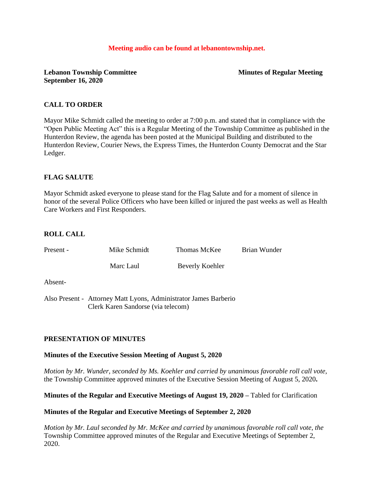#### **Meeting audio can be found at lebanontownship.net.**

## **Lebanon Township Committee Minutes of Regular Meeting September 16, 2020**

## **CALL TO ORDER**

Mayor Mike Schmidt called the meeting to order at 7:00 p.m. and stated that in compliance with the "Open Public Meeting Act" this is a Regular Meeting of the Township Committee as published in the Hunterdon Review, the agenda has been posted at the Municipal Building and distributed to the Hunterdon Review, Courier News, the Express Times, the Hunterdon County Democrat and the Star Ledger.

## **FLAG SALUTE**

Mayor Schmidt asked everyone to please stand for the Flag Salute and for a moment of silence in honor of the several Police Officers who have been killed or injured the past weeks as well as Health Care Workers and First Responders.

# **ROLL CALL**

| Present -             | Mike Schmidt | Thomas McKee                                     | Brian Wunder |
|-----------------------|--------------|--------------------------------------------------|--------------|
|                       | Marc Laul    | Beverly Koehler                                  |              |
| Absent-               |              |                                                  |              |
| $\Lambda$ leo Drocont |              | Attornoy Mott Lyong Administrator James Darborio |              |

Also Present - Attorney Matt Lyons, Administrator James Barberio Clerk Karen Sandorse (via telecom)

## **PRESENTATION OF MINUTES**

## **Minutes of the Executive Session Meeting of August 5, 2020**

*Motion by Mr. Wunder, seconded by Ms. Koehler and carried by unanimous favorable roll call vote,* the Township Committee approved minutes of the Executive Session Meeting of August 5, 2020**.**

**Minutes of the Regular and Executive Meetings of August 19, 2020 –** Tabled for Clarification

## **Minutes of the Regular and Executive Meetings of September 2, 2020**

*Motion by Mr. Laul seconded by Mr. McKee and carried by unanimous favorable roll call vote, the* Township Committee approved minutes of the Regular and Executive Meetings of September 2, 2020.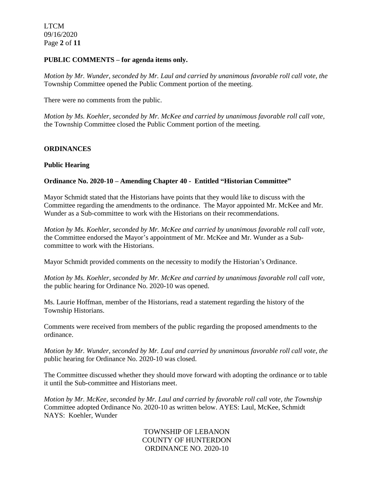LTCM 09/16/2020 Page **2** of **11**

#### **PUBLIC COMMENTS – for agenda items only.**

*Motion by Mr. Wunder, seconded by Mr. Laul and carried by unanimous favorable roll call vote, the* Township Committee opened the Public Comment portion of the meeting.

There were no comments from the public.

*Motion by Ms. Koehler, seconded by Mr. McKee and carried by unanimous favorable roll call vote,* the Township Committee closed the Public Comment portion of the meeting.

## **ORDINANCES**

#### **Public Hearing**

#### **Ordinance No. 2020-10 – Amending Chapter 40 - Entitled "Historian Committee"**

Mayor Schmidt stated that the Historians have points that they would like to discuss with the Committee regarding the amendments to the ordinance. The Mayor appointed Mr. McKee and Mr. Wunder as a Sub-committee to work with the Historians on their recommendations.

*Motion by Ms. Koehler, seconded by Mr. McKee and carried by unanimous favorable roll call vote,* the Committee endorsed the Mayor's appointment of Mr. McKee and Mr. Wunder as a Subcommittee to work with the Historians.

Mayor Schmidt provided comments on the necessity to modify the Historian's Ordinance.

*Motion by Ms. Koehler, seconded by Mr. McKee and carried by unanimous favorable roll call vote,* the public hearing for Ordinance No. 2020-10 was opened.

Ms. Laurie Hoffman, member of the Historians, read a statement regarding the history of the Township Historians.

Comments were received from members of the public regarding the proposed amendments to the ordinance.

*Motion by Mr. Wunder, seconded by Mr. Laul and carried by unanimous favorable roll call vote, the* public hearing for Ordinance No. 2020-10 was closed.

The Committee discussed whether they should move forward with adopting the ordinance or to table it until the Sub-committee and Historians meet.

*Motion by Mr. McKee, seconded by Mr. Laul and carried by favorable roll call vote, the Township* Committee adopted Ordinance No. 2020-10 as written below. AYES: Laul, McKee, Schmidt NAYS: Koehler, Wunder

> TOWNSHIP OF LEBANON COUNTY OF HUNTERDON ORDINANCE NO. 2020-10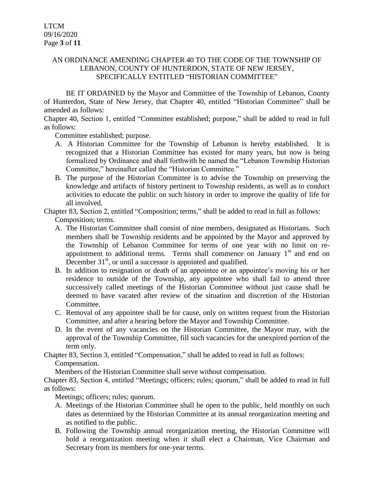# AN ORDINANCE AMENDING CHAPTER 40 TO THE CODE OF THE TOWNSHIP OF LEBANON, COUNTY OF HUNTERDON, STATE OF NEW JERSEY, SPECIFICALLY ENTITLED "HISTORIAN COMMITTEE"

BE IT ORDAINED by the Mayor and Committee of the Township of Lebanon, County of Hunterdon, State of New Jersey, that Chapter 40, entitled "Historian Committee" shall be amended as follows:

Chapter 40, Section 1, entitled "Committee established; purpose," shall be added to read in full as follows:

Committee established; purpose.

- A. A Historian Committee for the Township of Lebanon is hereby established. It is recognized that a Historian Committee has existed for many years, but now is being formalized by Ordinance and shall forthwith be named the "Lebanon Township Historian Committee," hereinafter called the "Historian Committee."
- B. The purpose of the Historian Committee is to advise the Township on preserving the knowledge and artifacts of history pertinent to Township residents, as well as to conduct activities to educate the public on such history in order to improve the quality of life for all involved.

Chapter 83, Section 2, entitled "Composition; terms," shall be added to read in full as follows: Composition; terms.

- A. The Historian Committee shall consist of nine members, designated as Historians. Such members shall be Township residents and be appointed by the Mayor and approved by the Township of Lebanon Committee for terms of one year with no limit on reappointment to additional terms. Terms shall commence on January  $1<sup>st</sup>$  and end on December  $31<sup>st</sup>$ , or until a successor is appointed and qualified.
- B. In addition to resignation or death of an appointee or an appointee's moving his or her residence to outside of the Township, any appointee who shall fail to attend three successively called meetings of the Historian Committee without just cause shall be deemed to have vacated after review of the situation and discretion of the Historian Committee.
- C. Removal of any appointee shall be for cause, only on written request from the Historian Committee, and after a hearing before the Mayor and Township Committee.
- D. In the event of any vacancies on the Historian Committee, the Mayor may, with the approval of the Township Committee, fill such vacancies for the unexpired portion of the term only.

Chapter 83, Section 3, entitled "Compensation," shall be added to read in full as follows:

Compensation.

Members of the Historian Committee shall serve without compensation.

Chapter 83, Section 4, entitled "Meetings; officers; rules; quorum," shall be added to read in full as follows:

Meetings; officers; rules; quorum.

- A. Meetings of the Historian Committee shall be open to the public, held monthly on such dates as determined by the Historian Committee at its annual reorganization meeting and as notified to the public.
- B. Following the Township annual reorganization meeting, the Historian Committee will hold a reorganization meeting when it shall elect a Chairman, Vice Chairman and Secretary from its members for one-year terms.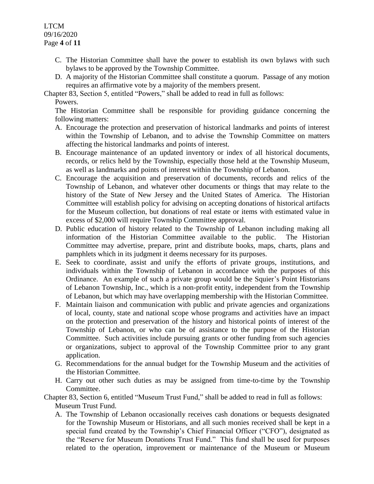LTCM 09/16/2020 Page **4** of **11**

- C. The Historian Committee shall have the power to establish its own bylaws with such bylaws to be approved by the Township Committee.
- D. A majority of the Historian Committee shall constitute a quorum. Passage of any motion requires an affirmative vote by a majority of the members present.

Chapter 83, Section 5, entitled "Powers," shall be added to read in full as follows:

Powers.

The Historian Committee shall be responsible for providing guidance concerning the following matters:

- A. Encourage the protection and preservation of historical landmarks and points of interest within the Township of Lebanon, and to advise the Township Committee on matters affecting the historical landmarks and points of interest.
- B. Encourage maintenance of an updated inventory or index of all historical documents, records, or relics held by the Township, especially those held at the Township Museum, as well as landmarks and points of interest within the Township of Lebanon.
- C. Encourage the acquisition and preservation of documents, records and relics of the Township of Lebanon, and whatever other documents or things that may relate to the history of the State of New Jersey and the United States of America. The Historian Committee will establish policy for advising on accepting donations of historical artifacts for the Museum collection, but donations of real estate or items with estimated value in excess of \$2,000 will require Township Committee approval.
- D. Public education of history related to the Township of Lebanon including making all information of the Historian Committee available to the public. The Historian Committee may advertise, prepare, print and distribute books, maps, charts, plans and pamphlets which in its judgment it deems necessary for its purposes.
- E. Seek to coordinate, assist and unify the efforts of private groups, institutions, and individuals within the Township of Lebanon in accordance with the purposes of this Ordinance. An example of such a private group would be the Squier's Point Historians of Lebanon Township, Inc., which is a non-profit entity, independent from the Township of Lebanon, but which may have overlapping membership with the Historian Committee.
- F. Maintain liaison and communication with public and private agencies and organizations of local, county, state and national scope whose programs and activities have an impact on the protection and preservation of the history and historical points of interest of the Township of Lebanon, or who can be of assistance to the purpose of the Historian Committee. Such activities include pursuing grants or other funding from such agencies or organizations, subject to approval of the Township Committee prior to any grant application.
- G. Recommendations for the annual budget for the Township Museum and the activities of the Historian Committee.
- H. Carry out other such duties as may be assigned from time-to-time by the Township Committee.
- Chapter 83, Section 6, entitled "Museum Trust Fund," shall be added to read in full as follows: Museum Trust Fund.
	- A. The Township of Lebanon occasionally receives cash donations or bequests designated for the Township Museum or Historians, and all such monies received shall be kept in a special fund created by the Township's Chief Financial Officer ("CFO"), designated as the "Reserve for Museum Donations Trust Fund." This fund shall be used for purposes related to the operation, improvement or maintenance of the Museum or Museum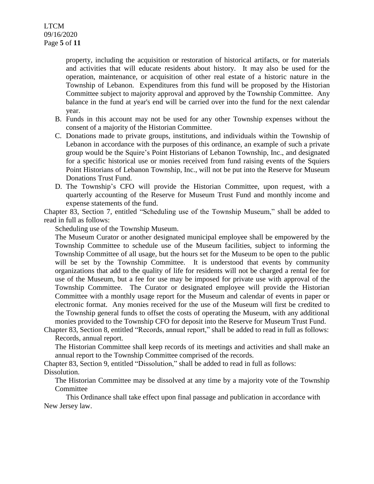property, including the acquisition or restoration of historical artifacts, or for materials and activities that will educate residents about history. It may also be used for the operation, maintenance, or acquisition of other real estate of a historic nature in the Township of Lebanon. Expenditures from this fund will be proposed by the Historian Committee subject to majority approval and approved by the Township Committee. Any balance in the fund at year's end will be carried over into the fund for the next calendar year.

- B. Funds in this account may not be used for any other Township expenses without the consent of a majority of the Historian Committee.
- C. Donations made to private groups, institutions, and individuals within the Township of Lebanon in accordance with the purposes of this ordinance, an example of such a private group would be the Squire's Point Historians of Lebanon Township, Inc., and designated for a specific historical use or monies received from fund raising events of the Squiers Point Historians of Lebanon Township, Inc., will not be put into the Reserve for Museum Donations Trust Fund.
- D. The Township's CFO will provide the Historian Committee, upon request, with a quarterly accounting of the Reserve for Museum Trust Fund and monthly income and expense statements of the fund.

Chapter 83, Section 7, entitled "Scheduling use of the Township Museum," shall be added to read in full as follows:

Scheduling use of the Township Museum.

The Museum Curator or another designated municipal employee shall be empowered by the Township Committee to schedule use of the Museum facilities, subject to informing the Township Committee of all usage, but the hours set for the Museum to be open to the public will be set by the Township Committee. It is understood that events by community organizations that add to the quality of life for residents will not be charged a rental fee for use of the Museum, but a fee for use may be imposed for private use with approval of the Township Committee. The Curator or designated employee will provide the Historian Committee with a monthly usage report for the Museum and calendar of events in paper or electronic format. Any monies received for the use of the Museum will first be credited to the Township general funds to offset the costs of operating the Museum, with any additional monies provided to the Township CFO for deposit into the Reserve for Museum Trust Fund.

Chapter 83, Section 8, entitled "Records, annual report," shall be added to read in full as follows: Records, annual report.

The Historian Committee shall keep records of its meetings and activities and shall make an annual report to the Township Committee comprised of the records.

Chapter 83, Section 9, entitled "Dissolution," shall be added to read in full as follows: Dissolution.

The Historian Committee may be dissolved at any time by a majority vote of the Township Committee

This Ordinance shall take effect upon final passage and publication in accordance with New Jersey law.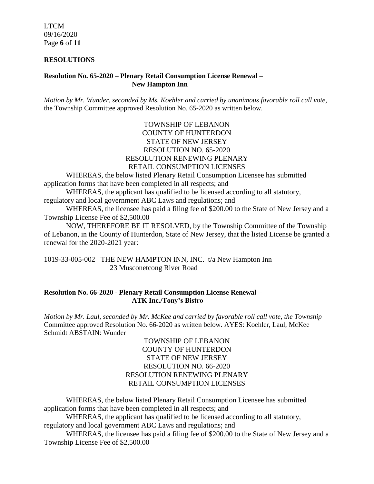LTCM 09/16/2020 Page **6** of **11**

#### **RESOLUTIONS**

#### **Resolution No. 65-2020 – Plenary Retail Consumption License Renewal – New Hampton Inn**

*Motion by Mr. Wunder, seconded by Ms. Koehler and carried by unanimous favorable roll call vote,* the Township Committee approved Resolution No. 65-2020 as written below.

## TOWNSHIP OF LEBANON COUNTY OF HUNTERDON STATE OF NEW JERSEY RESOLUTION NO. 65-2020 RESOLUTION RENEWING PLENARY RETAIL CONSUMPTION LICENSES

WHEREAS, the below listed Plenary Retail Consumption Licensee has submitted application forms that have been completed in all respects; and

WHEREAS, the applicant has qualified to be licensed according to all statutory, regulatory and local government ABC Laws and regulations; and

WHEREAS, the licensee has paid a filing fee of \$200.00 to the State of New Jersey and a Township License Fee of \$2,500.00

NOW, THEREFORE BE IT RESOLVED, by the Township Committee of the Township of Lebanon, in the County of Hunterdon, State of New Jersey, that the listed License be granted a renewal for the 2020-2021 year:

1019-33-005-002 THE NEW HAMPTON INN, INC. t/a New Hampton Inn 23 Musconetcong River Road

### **Resolution No. 66-2020 - Plenary Retail Consumption License Renewal – ATK Inc./Tony's Bistro**

*Motion by Mr. Laul, seconded by Mr. McKee and carried by favorable roll call vote, the Township* Committee approved Resolution No. 66-2020 as written below. AYES: Koehler, Laul, McKee Schmidt ABSTAIN: Wunder

## TOWNSHIP OF LEBANON COUNTY OF HUNTERDON STATE OF NEW JERSEY RESOLUTION NO. 66-2020 RESOLUTION RENEWING PLENARY RETAIL CONSUMPTION LICENSES

WHEREAS, the below listed Plenary Retail Consumption Licensee has submitted application forms that have been completed in all respects; and

WHEREAS, the applicant has qualified to be licensed according to all statutory, regulatory and local government ABC Laws and regulations; and

WHEREAS, the licensee has paid a filing fee of \$200.00 to the State of New Jersey and a Township License Fee of \$2,500.00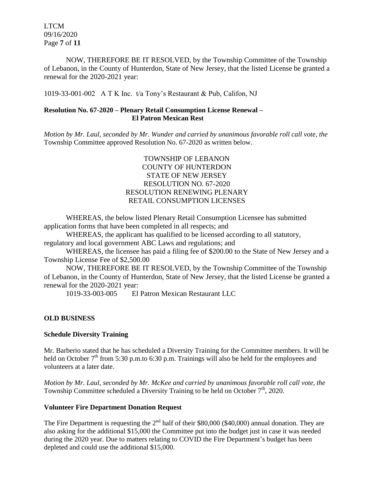LTCM 09/16/2020 Page **7** of **11**

NOW, THEREFORE BE IT RESOLVED, by the Township Committee of the Township of Lebanon, in the County of Hunterdon, State of New Jersey, that the listed License be granted a renewal for the 2020-2021 year:

1019-33-001-002 A T K Inc. t/a Tony's Restaurant & Pub, Califon, NJ

## **Resolution No. 67-2020 – Plenary Retail Consumption License Renewal – El Patron Mexican Rest**

*Motion by Mr. Laul, seconded by Mr. Wunder and carried by unanimous favorable roll call vote, the* Township Committee approved Resolution No. 67-2020 as written below.

## TOWNSHIP OF LEBANON COUNTY OF HUNTERDON STATE OF NEW JERSEY RESOLUTION NO. 67-2020 RESOLUTION RENEWING PLENARY RETAIL CONSUMPTION LICENSES

WHEREAS, the below listed Plenary Retail Consumption Licensee has submitted application forms that have been completed in all respects; and

WHEREAS, the applicant has qualified to be licensed according to all statutory, regulatory and local government ABC Laws and regulations; and

WHEREAS, the licensee has paid a filing fee of \$200.00 to the State of New Jersey and a Township License Fee of \$2,500.00

NOW, THEREFORE BE IT RESOLVED, by the Township Committee of the Township of Lebanon, in the County of Hunterdon, State of New Jersey, that the listed License be granted a renewal for the 2020-2021 year:

1019-33-003-005 El Patron Mexican Restaurant LLC

# **OLD BUSINESS**

# **Schedule Diversity Training**

Mr. Barberio stated that he has scheduled a Diversity Training for the Committee members. It will be held on October  $7<sup>th</sup>$  from 5:30 p.m.to 6:30 p.m. Trainings will also be held for the employees and volunteers at a later date.

*Motion by Mr. Laul, seconded by Mr. McKee and carried by unanimous favorable roll call vote, the* Township Committee scheduled a Diversity Training to be held on October 7<sup>th</sup>, 2020.

## **Volunteer Fire Department Donation Request**

The Fire Department is requesting the  $2<sup>nd</sup>$  half of their \$80,000 (\$40,000) annual donation. They are also asking for the additional \$15,000 the Committee put into the budget just in case it was needed during the 2020 year. Due to matters relating to COVID the Fire Department's budget has been depleted and could use the additional \$15,000.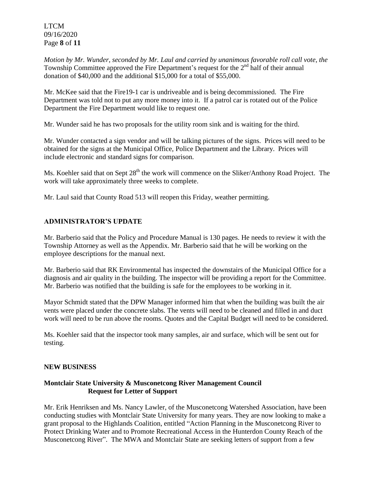LTCM 09/16/2020 Page **8** of **11**

*Motion by Mr. Wunder, seconded by Mr. Laul and carried by unanimous favorable roll call vote, the* Township Committee approved the Fire Department's request for the 2<sup>nd</sup> half of their annual donation of \$40,000 and the additional \$15,000 for a total of \$55,000.

Mr. McKee said that the Fire19-1 car is undriveable and is being decommissioned. The Fire Department was told not to put any more money into it. If a patrol car is rotated out of the Police Department the Fire Department would like to request one.

Mr. Wunder said he has two proposals for the utility room sink and is waiting for the third.

Mr. Wunder contacted a sign vendor and will be talking pictures of the signs. Prices will need to be obtained for the signs at the Municipal Office, Police Department and the Library. Prices will include electronic and standard signs for comparison.

Ms. Koehler said that on Sept 28<sup>th</sup> the work will commence on the Sliker/Anthony Road Project. The work will take approximately three weeks to complete.

Mr. Laul said that County Road 513 will reopen this Friday, weather permitting.

## **ADMINISTRATOR'S UPDATE**

Mr. Barberio said that the Policy and Procedure Manual is 130 pages. He needs to review it with the Township Attorney as well as the Appendix. Mr. Barberio said that he will be working on the employee descriptions for the manual next.

Mr. Barberio said that RK Environmental has inspected the downstairs of the Municipal Office for a diagnosis and air quality in the building. The inspector will be providing a report for the Committee. Mr. Barberio was notified that the building is safe for the employees to be working in it.

Mayor Schmidt stated that the DPW Manager informed him that when the building was built the air vents were placed under the concrete slabs. The vents will need to be cleaned and filled in and duct work will need to be run above the rooms. Quotes and the Capital Budget will need to be considered.

Ms. Koehler said that the inspector took many samples, air and surface, which will be sent out for testing.

#### **NEW BUSINESS**

## **Montclair State University & Musconetcong River Management Council Request for Letter of Support**

Mr. Erik Henriksen and Ms. Nancy Lawler, of the Musconetcong Watershed Association, have been conducting studies with Montclair State University for many years. They are now looking to make a grant proposal to the Highlands Coalition, entitled "Action Planning in the Musconetcong River to Protect Drinking Water and to Promote Recreational Access in the Hunterdon County Reach of the Musconetcong River". The MWA and Montclair State are seeking letters of support from a few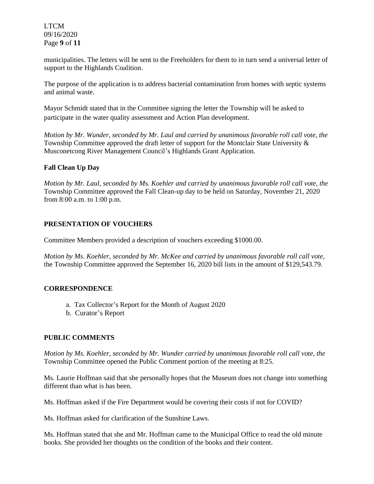LTCM 09/16/2020 Page **9** of **11**

municipalities. The letters will be sent to the Freeholders for them to in turn send a universal letter of support to the Highlands Coalition.

The purpose of the application is to address bacterial contamination from homes with septic systems and animal waste.

Mayor Schmidt stated that in the Committee signing the letter the Township will be asked to participate in the water quality assessment and Action Plan development.

*Motion by Mr. Wunder, seconded by Mr. Laul and carried by unanimous favorable roll call vote, the* Township Committee approved the draft letter of support for the Montclair State University & Musconetcong River Management Council's Highlands Grant Application.

## **Fall Clean Up Day**

*Motion by Mr. Laul, seconded by Ms. Koehler and carried by unanimous favorable roll call vote, the* Township Committee approved the Fall Clean-up day to be held on Saturday, November 21, 2020 from 8:00 a.m. to 1:00 p.m.

## **PRESENTATION OF VOUCHERS**

Committee Members provided a description of vouchers exceeding \$1000.00.

*Motion by Ms. Koehler, seconded by Mr. McKee and carried by unanimous favorable roll call vote,* the Township Committee approved the September 16, 2020 bill lists in the amount of \$129,543.79.

## **CORRESPONDENCE**

- a. Tax Collector's Report for the Month of August 2020
- b. Curator's Report

# **PUBLIC COMMENTS**

*Motion by Ms. Koehler, seconded by Mr. Wunder carried by unanimous favorable roll call vote, the* Township Committee opened the Public Comment portion of the meeting at 8:25.

Ms. Laurie Hoffman said that she personally hopes that the Museum does not change into something different than what is has been.

Ms. Hoffman asked if the Fire Department would be covering their costs if not for COVID?

Ms. Hoffman asked for clarification of the Sunshine Laws.

Ms. Hoffman stated that she and Mr. Hoffman came to the Municipal Office to read the old minute books. She provided her thoughts on the condition of the books and their content.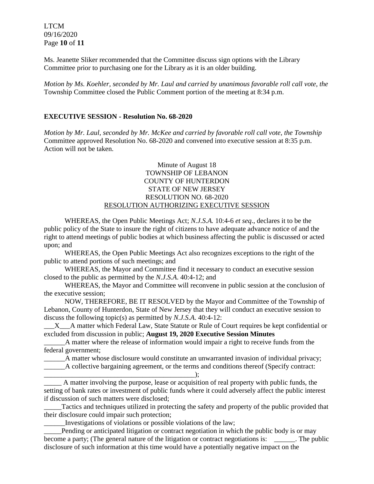LTCM 09/16/2020 Page **10** of **11**

Ms. Jeanette Sliker recommended that the Committee discuss sign options with the Library Committee prior to purchasing one for the Library as it is an older building.

*Motion by Ms. Koehler, seconded by Mr. Laul and carried by unanimous favorable roll call vote, the* Township Committee closed the Public Comment portion of the meeting at 8:34 p.m.

### **EXECUTIVE SESSION - Resolution No. 68-2020**

*Motion by Mr. Laul, seconded by Mr. McKee and carried by favorable roll call vote, the Township* Committee approved Resolution No. 68-2020 and convened into executive session at 8:35 p.m. Action will not be taken.

### Minute of August 18 TOWNSHIP OF LEBANON COUNTY OF HUNTERDON STATE OF NEW JERSEY RESOLUTION NO. 68-2020 RESOLUTION AUTHORIZING EXECUTIVE SESSION

WHEREAS, the Open Public Meetings Act; *N.J.S.A.* 10:4-6 *et seq*., declares it to be the public policy of the State to insure the right of citizens to have adequate advance notice of and the right to attend meetings of public bodies at which business affecting the public is discussed or acted upon; and

WHEREAS, the Open Public Meetings Act also recognizes exceptions to the right of the public to attend portions of such meetings; and

WHEREAS, the Mayor and Committee find it necessary to conduct an executive session closed to the public as permitted by the *N.J.S.A*. 40:4-12; and

WHEREAS, the Mayor and Committee will reconvene in public session at the conclusion of the executive session;

NOW, THEREFORE, BE IT RESOLVED by the Mayor and Committee of the Township of Lebanon, County of Hunterdon, State of New Jersey that they will conduct an executive session to discuss the following topic(s) as permitted by *N.J.S.A*. 40:4-12:

\_\_\_X\_\_\_A matter which Federal Law, State Statute or Rule of Court requires be kept confidential or excluded from discussion in public; **August 19, 2020 Executive Session Minutes**

\_\_\_\_\_\_A matter where the release of information would impair a right to receive funds from the federal government;

\_\_\_\_\_\_A matter whose disclosure would constitute an unwarranted invasion of individual privacy;

\_\_\_\_\_\_A collective bargaining agreement, or the terms and conditions thereof (Specify contract:

\_\_\_\_\_\_\_\_\_\_\_\_\_\_\_\_\_\_\_\_\_\_\_\_\_\_\_\_\_\_\_\_\_\_\_\_\_\_\_\_\_\_\_); \_\_\_\_\_ A matter involving the purpose, lease or acquisition of real property with public funds, the setting of bank rates or investment of public funds where it could adversely affect the public interest if discussion of such matters were disclosed;

\_\_\_\_\_Tactics and techniques utilized in protecting the safety and property of the public provided that their disclosure could impair such protection;

\_\_\_\_\_\_Investigations of violations or possible violations of the law;

Pending or anticipated litigation or contract negotiation in which the public body is or may become a party; (The general nature of the litigation or contract negotiations is: \_\_\_\_\_\_\_. The public disclosure of such information at this time would have a potentially negative impact on the